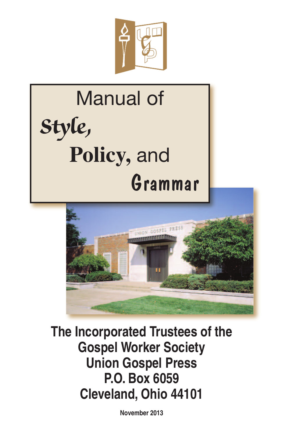

# Manual of **Style, Policy,** and Grammar



**The Incorporated Trustees of the Gospel Worker Society Union Gospel Press P.O. Box 6059 Cleveland, Ohio 44101**

**November 2013**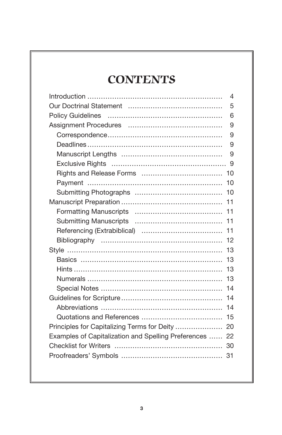# **CONTENTS**

|                                                         | $\overline{4}$ |
|---------------------------------------------------------|----------------|
|                                                         | 5              |
|                                                         | 6              |
|                                                         | 9              |
|                                                         | 9              |
|                                                         | 9              |
|                                                         | 9              |
|                                                         | 9              |
|                                                         | 10             |
|                                                         | 10             |
|                                                         |                |
|                                                         | 11             |
|                                                         | 11             |
|                                                         |                |
|                                                         | 11             |
|                                                         | 12             |
|                                                         |                |
|                                                         | 13             |
|                                                         | 13             |
|                                                         | 13             |
|                                                         | 14             |
|                                                         |                |
|                                                         | 14             |
|                                                         | 15             |
| Principles for Capitalizing Terms for Deity  20         |                |
| Examples of Capitalization and Spelling Preferences  22 |                |
|                                                         |                |
|                                                         |                |
|                                                         |                |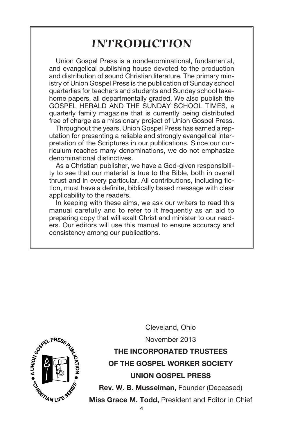# **INTRODUCTION**

Union Gospel Press is a nondenominational, fundamental, and evangelical publishing house devoted to the production and distribution of sound Christian literature. The primary ministry of Union Gospel Press is the publication of Sunday school quarterlies for teachers and students and Sunday school takehome papers, all departmentally graded. We also publish the GOSPEL HERALD AND THE SUNDAY SCHOOL TIMES, a quarterly family magazine that is currently being distributed free of charge as a missionary project of Union Gospel Press.

Throughout the years, Union Gospel Press has earned a reputation for presenting a reliable and strongly evangelical interpretation of the Scriptures in our publications. Since our curriculum reaches many denominations, we do not emphasize denominational distinctives.

As a Christian publisher, we have a God-given responsibility to see that our material is true to the Bible, both in overall thrust and in every particular. All contributions, including fiction, must have a definite, biblically based message with clear applicability to the readers.

In keeping with these aims, we ask our writers to read this manual carefully and to refer to it frequently as an aid to preparing copy that will exalt Christ and minister to our readers. Our editors will use this manual to ensure accuracy and consistency among our publications.



Cleveland, Ohio November 2013 **THE INCORPORATED TRUSTEES**

**OF THE GOSPEL WORKER SOCIETY UNION GOSPEL PRESS**

**Rev. W. B. Musselman,** Founder (Deceased)

**Miss Grace M. Todd,** President and Editor in Chief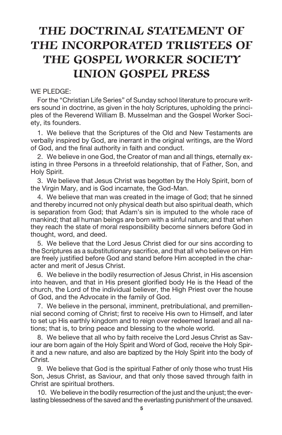# **THE DOCTRINAL STATEMENT OF THE INCORPORATED TRUSTEES OF THE GOSPEL WORKER SOCIETY UNION GOSPEL PRESS**

#### WE PLEDGE:

For the "Christian Life Series" of Sunday school literature to procure writers sound in doctrine, as given in the holy Scriptures, upholding the principles of the Reverend William B. Musselman and the Gospel Worker Society, its founders.

1. We believe that the Scriptures of the Old and New Testaments are verbally inspired by God, are inerrant in the original writings, are the Word of God, and the final authority in faith and conduct.

2. We believe in one God, the Creator of man and all things, eternally existing in three Persons in a threefold relationship, that of Father, Son, and Holy Spirit.

3. We believe that Jesus Christ was begotten by the Holy Spirit, born of the Virgin Mary, and is God incarnate, the God-Man.

4. We believe that man was created in the image of God; that he sinned and thereby incurred not only physical death but also spiritual death, which is separation from God; that Adam's sin is imputed to the whole race of mankind; that all human beings are born with a sinful nature; and that when they reach the state of moral responsibility become sinners before God in thought, word, and deed.

5. We believe that the Lord Jesus Christ died for our sins according to the Scriptures as a substitutionary sacrifice, and that all who believe on Him are freely justified before God and stand before Him accepted in the character and merit of Jesus Christ.

6. We believe in the bodily resurrection of Jesus Christ, in His ascension into heaven, and that in His present glorified body He is the Head of the church, the Lord of the individual believer, the High Priest over the house of God, and the Advocate in the family of God.

7. We believe in the personal, imminent, pretribulational, and premillennial second coming of Christ; first to receive His own to Himself, and later to set up His earthly kingdom and to reign over redeemed Israel and all nations; that is, to bring peace and blessing to the whole world.

8. We believe that all who by faith receive the Lord Jesus Christ as Saviour are born again of the Holy Spirit and Word of God, receive the Holy Spirit and a new nature, and also are baptized by the Holy Spirit into the body of Christ.

9. We believe that God is the spiritual Father of only those who trust His Son, Jesus Christ, as Saviour, and that only those saved through faith in Christ are spiritual brothers.

10. We believe in the bodily resurrection of the just and the unjust; the everlasting blessedness of the saved and the everlasting punishment of the unsaved.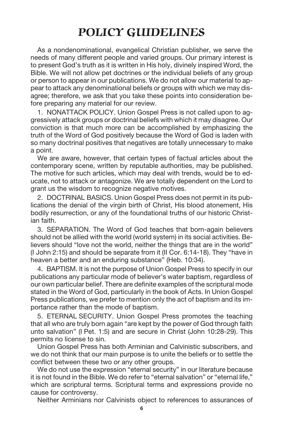# **POLICY GUIDELINES**

As a nondenominational, evangelical Christian publisher, we serve the needs of many different people and varied groups. Our primary interest is to present God's truth as it is written in His holy, divinely inspired Word, the Bible. We will not allow pet doctrines or the individual beliefs of any group or person to appear in our publications. We do not allow our material to appear to attack any denominational beliefs or groups with which we may disagree; therefore, we ask that you take these points into consideration before preparing any material for our review.

1. NONATTACK POLICY. Union Gospel Press is not called upon to aggressively attack groups or doctrinal beliefs with which it may disagree. Our conviction is that much more can be accomplished by emphasizing the truth of the Word of God positively because the Word of God is laden with so many doctrinal positives that negatives are totally unnecessary to make a point.

We are aware, however, that certain types of factual articles about the contemporary scene, written by reputable authorities, may be published. The motive for such articles, which may deal with trends, would be to educate, not to attack or antagonize. We are totally dependent on the Lord to grant us the wisdom to recognize negative motives.

2. DOCTRINAL BASICS. Union Gospel Press does not permit in its publications the denial of the virgin birth of Christ, His blood atonement, His bodily resurrection, or any of the foundational truths of our historic Christian faith.

3. SEPARATION. The Word of God teaches that born-again believers should not be allied with the world (world system) in its social activities. Believers should "love not the world, neither the things that are in the world" (I John 2:15) and should be separate from it (II Cor. 6:14-18). They "have in heaven a better and an enduring substance" (Heb. 10:34).

4. BAPTISM. It is not the purpose of Union Gospel Press to specify in our publications any particular mode of believer's water baptism, regardless of our own particular belief. There are definite examples of the scriptural mode stated in the Word of God, particularly in the book of Acts. In Union Gospel Press publications, we prefer to mention only the act of baptism and its importance rather than the mode of baptism.

5. ETERNAL SECURITY. Union Gospel Press promotes the teaching that all who are truly born again "are kept by the power of God through faith unto salvation" (I Pet. 1:5) and are secure in Christ (John 10:28-29). This permits no license to sin.

Union Gospel Press has both Arminian and Calvinistic subscribers, and we do not think that our main purpose is to unite the beliefs or to settle the conflict between these two or any other groups.

We do not use the expression "eternal security" in our literature because it is not found in the Bible. We do refer to "eternal salvation" or "eternal life," which are scriptural terms. Scriptural terms and expressions provide no cause for controversy.

Neither Arminians nor Calvinists object to references to assurances of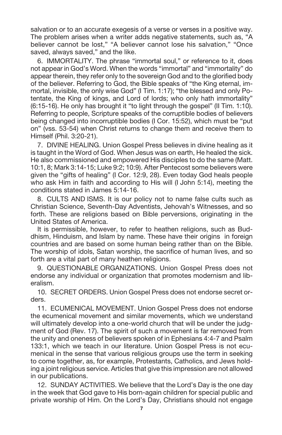salvation or to an accurate exegesis of a verse or verses in a positive way. The problem arises when a writer adds negative statements, such as, "A believer cannot be lost," "A believer cannot lose his salvation," "Once saved, always saved," and the like.

6. IMMORTALITY. The phrase "immortal soul," or reference to it, does not appear in God's Word. When the words "immortal" and "immortality" do appear therein, they refer only to the sovereign God and to the glorified body of the believer. Referring to God, the Bible speaks of "the King eternal, immortal, invisible, the only wise God" (I Tim. 1:17); "the blessed and only Potentate, the King of kings, and Lord of lords; who only hath immortality" (6:15-16). He only has brought it "to light through the gospel" (II Tim. 1:10). Referring to people, Scripture speaks of the corruptible bodies of believers being changed into incorruptible bodies (I Cor. 15:52), which must be "put on" (vss. 53-54) when Christ returns to change them and receive them to Himself (Phil. 3:20-21).

7. DIVINE HEALING. Union Gospel Press believes in divine healing as it is taught in the Word of God. When Jesus was on earth, He healed the sick. He also commissioned and empowered His disciples to do the same (Matt. 10:1, 8; Mark 3:14-15; Luke 9:2; 10:9). After Pentecost some believers were given the "gifts of healing" (I Cor. 12:9, 28). Even today God heals people who ask Him in faith and according to His will (I John 5:14), meeting the conditions stated in James 5:14-16.

8. CULTS AND ISMS. It is our policy not to name false cults such as Christian Science, Seventh-Day Adventists, Jehovah's Witnesses, and so forth. These are religions based on Bible perversions, originating in the United States of America.

It is permissible, however, to refer to heathen religions, such as Buddhism, Hinduism, and Islam by name. These have their origins in foreign countries and are based on some human being rather than on the Bible. The worship of idols, Satan worship, the sacrifice of human lives, and so forth are a vital part of many heathen religions.

9. QUESTIONABLE ORGANIZATIONS. Union Gospel Press does not endorse any individual or organization that promotes modernism and liberalism.

10. SECRET ORDERS. Union Gospel Press does not endorse secret orders.

11. ECUMENICAL MOVEMENT. Union Gospel Press does not endorse the ecumenical movement and similar movements, which we understand will ultimately develop into a one-world church that will be under the judgment of God (Rev. 17). The spirit of such a movement is far removed from the unity and oneness of believers spoken of in Ephesians 4:4-7 and Psalm 133:1, which we teach in our literature. Union Gospel Press is not ecumenical in the sense that various religious groups use the term in seeking to come together, as, for example, Protestants, Catholics, and Jews holding a joint religious service. Articles that give this impression are not allowed in our publications.

12. SUNDAY ACTIVITIES. We believe that the Lord's Day is the one day in the week that God gave to His born-again children for special public and private worship of Him. On the Lord's Day, Christians should not engage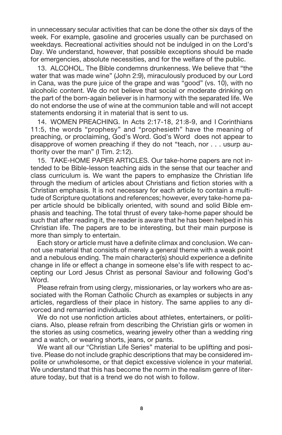in unnecessary secular activities that can be done the other six days of the week. For example, gasoline and groceries usually can be purchased on weekdays. Recreational activities should not be indulged in on the Lord's Day. We understand, however, that possible exceptions should be made for emergencies, absolute necessities, and for the welfare of the public.

13. ALCOHOL. The Bible condemns drunkenness. We believe that "the water that was made wine" (John 2:9), miraculously produced by our Lord in Cana, was the pure juice of the grape and was "good" (vs. 10), with no alcoholic content. We do not believe that social or moderate drinking on the part of the born-again believer is in harmony with the separated life. We do not endorse the use of wine at the communion table and will not accept statements endorsing it in material that is sent to us.

14. WOMEN PREACHING. In Acts 2:17-18, 21:8-9, and I Corinthians 11:5, the words "prophesy" and "prophesieth" have the meaning of preaching, or proclaiming, God's Word. God's Word does not appear to disapprove of women preaching if they do not "teach, nor . . . usurp authority over the man" (I Tim. 2:12).

15. TAKE-HOME PAPER ARTICLES. Our take-home papers are not intended to be Bible-lesson teaching aids in the sense that our teacher and class curriculum is. We want the papers to emphasize the Christian life through the medium of articles about Christians and fiction stories with a Christian emphasis. It is not necessary for each article to contain a multitude of Scripture quotations and references; however, every take-home paper article should be biblically oriented, with sound and solid Bible emphasis and teaching. The total thrust of every take-home paper should be such that after reading it, the reader is aware that he has been helped in his Christian life. The papers are to be interesting, but their main purpose is more than simply to entertain.

Each story or article must have a definite climax and conclusion. We cannot use material that consists of merely a general theme with a weak point and a nebulous ending. The main character(s) should experience a definite change in life or effect a change in someone else's life with respect to accepting our Lord Jesus Christ as personal Saviour and following God's Word.

Please refrain from using clergy, missionaries, or lay workers who are associated with the Roman Catholic Church as examples or subjects in any articles, regardless of their place in history. The same applies to any divorced and remarried individuals.

We do not use nonfiction articles about athletes, entertainers, or politicians. Also, please refrain from describing the Christian girls or women in the stories as using cosmetics, wearing jewelry other than a wedding ring and a watch, or wearing shorts, jeans, or pants.

We want all our "Christian Life Series" material to be uplifting and positive. Please do not include graphic descriptions that may be considered impolite or unwholesome, or that depict excessive violence in your material. We understand that this has become the norm in the realism genre of literature today, but that is a trend we do not wish to follow.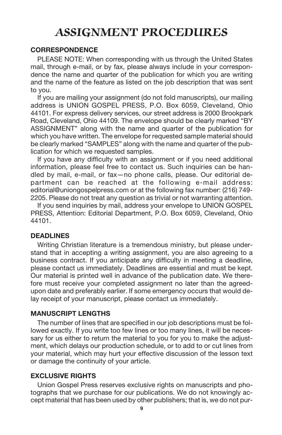# **ASSIGNMENT PROCEDURES**

#### **CORRESPONDENCE**

PLEASE NOTE: When corresponding with us through the United States mail, through e-mail, or by fax, please always include in your correspondence the name and quarter of the publication for which you are writing and the name of the feature as listed on the job description that was sent to you.

If you are mailing your assignment (do not fold manuscripts), our mailing address is UNION GOSPEL PRESS, P.O. Box 6059, Cleveland, Ohio 44101. For express delivery services, our street address is 2000 Brookpark Road, Cleveland, Ohio 44109. The envelope should be clearly marked "BY ASSIGNMENT" along with the name and quarter of the publication for which you have written. The envelope for requested sample material should be clearly marked "SAMPLES" along with the name and quarter of the publication for which we requested samples.

If you have any difficulty with an assignment or if you need additional information, please feel free to contact us. Such inquiries can be handled by mail, e-mail, or fax—no phone calls, please. Our editorial department can be reached at the following e-mail address: editorial@uniongospelpress.com or at the following fax number: (216) 749- 2205. Please do not treat any question as trivial or not warranting attention.

If you send inquiries by mail, address your envelope to UNION GOSPEL PRESS, Attention: Editorial Department, P.O. Box 6059, Cleveland, Ohio 44101.

### **DEADLINES**

Writing Christian literature is a tremendous ministry, but please understand that in accepting a writing assignment, you are also agreeing to a business contract. If you anticipate any difficulty in meeting a deadline, please contact us immediately. Deadlines are essential and must be kept. Our material is printed well in advance of the publication date. We therefore must receive your completed assignment no later than the agreedupon date and preferably earlier. If some emergency occurs that would delay receipt of your manuscript, please contact us immediately.

#### **MANUSCRIPT LENGTHS**

The number of lines that are specified in our job descriptions must be followed exactly. If you write too few lines or too many lines, it will be necessary for us either to return the material to you for you to make the adjustment, which delays our production schedule, or to add to or cut lines from your material, which may hurt your effective discussion of the lesson text or damage the continuity of your article.

#### **EXCLUSIVE RIGHTS**

Union Gospel Press reserves exclusive rights on manuscripts and photographs that we purchase for our publications. We do not knowingly accept material that has been used by other publishers; that is, we do not pur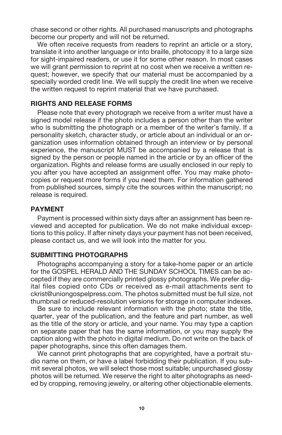chase second or other rights. All purchased manuscripts and photographs become our property and will not be returned.

We often receive requests from readers to reprint an article or a story, translate it into another language or into braille, photocopy it to a large size for sight-impaired readers, or use it for some other reason. In most cases we will grant permission to reprint at no cost when we receive a written request; however, we specify that our material must be accompanied by a specially worded credit line. We will supply the credit line when we receive the written request to reprint material that we have purchased.

### **RIGHTS AND RELEASE FORMS**

Please note that every photograph we receive from a writer must have a signed model release if the photo includes a person other than the writer who is submitting the photograph or a member of the writer's family. If a personality sketch, character study, or article about an individual or an organization uses information obtained through an interview or by personal experience, the manuscript MUST be accompanied by a release that is signed by the person or people named in the article or by an officer of the organization. Rights and release forms are usually enclosed in our reply to you after you have accepted an assignment offer. You may make photocopies or request more forms if you need them. For information gathered from published sources, simply cite the sources within the manuscript; no release is required.

### **PAYMENT**

Payment is processed within sixty days after an assignment has been reviewed and accepted for publication. We do not make individual exceptions to this policy. If after ninety days your payment has not been received, please contact us, and we will look into the matter for you.

### **SUBMITTING PHOTOGRAPHS**

Photographs accompanying a story for a take-home paper or an article for the GOSPEL HERALD AND THE SUNDAY SCHOOL TIMES can be accepted if they are commercially printed glossy photographs. We prefer digital files copied onto CDs or received as e-mail attachments sent to ckrist@uniongospelpress.com. The photos submitted must be full size, not thumbnail or reduced-resolution versions for storage in computer indexes.

Be sure to include relevant information with the photo; state the title, quarter, year of the publication, and the feature and part number, as well as the title of the story or article, and your name. You may type a caption on separate paper that has the same information, or you may supply the caption along with the photo in digital medium. Do not write on the back of paper photographs, since this often damages them.

We cannot print photographs that are copyrighted, have a portrait studio name on them, or have a label forbidding their publication. If you submit several photos, we will select those most suitable; unpurchased glossy photos will be returned. We reserve the right to alter photographs as needed by cropping, removing jewelry, or altering other objectionable elements.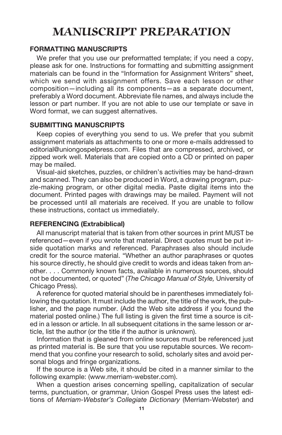# **MANUSCRIPT PREPARATION**

### **FORMATTING MANUSCRIPTS**

We prefer that you use our preformatted template; if you need a copy, please ask for one. Instructions for formatting and submitting assignment materials can be found in the "Information for Assignment Writers" sheet, which we send with assignment offers. Save each lesson or other composition—including all its components—as a separate document, preferably a Word document. Abbreviate file names, and always include the lesson or part number. If you are not able to use our template or save in Word format, we can suggest alternatives.

### **SUBMITTING MANUSCRIPTS**

Keep copies of everything you send to us. We prefer that you submit assignment materials as attachments to one or more e-mails addressed to editorial@uniongospelpress.com. Files that are compressed, archived, or zipped work well. Materials that are copied onto a CD or printed on paper may be mailed.

Visual-aid sketches, puzzles, or children's activities may be hand-drawn and scanned. They can also be produced in Word, a drawing program, puzzle-making program, or other digital media. Paste digital items into the document. Printed pages with drawings may be mailed. Payment will not be processed until all materials are received. If you are unable to follow these instructions, contact us immediately.

### **REFERENCING (Extrabiblical)**

All manuscript material that is taken from other sources in print MUST be referenced—even if you wrote that material. Direct quotes must be put inside quotation marks and referenced. Paraphrases also should include credit for the source material. "Whether an author paraphrases or quotes his source directly, he should give credit to words and ideas taken from another. . . . Commonly known facts, available in numerous sources, should not be documented, or quoted" (*The Chicago Manual of Style,* University of Chicago Press).

A reference for quoted material should be in parentheses immediately following the quotation. It must include the author, the title of the work, the publisher, and the page number. (Add the Web site address if you found the material posted online.) The full listing is given the first time a source is cited in a lesson or article. In all subsequent citations in the same lesson or article, list the author (or the title if the author is unknown).

Information that is gleaned from online sources must be referenced just as printed material is. Be sure that you use reputable sources. We recommend that you confine your research to solid, scholarly sites and avoid personal blogs and fringe organizations.

If the source is a Web site, it should be cited in a manner similar to the following example: (www.merriam-webster.com).

When a question arises concerning spelling, capitalization of secular terms, punctuation, or grammar, Union Gospel Press uses the latest editions of *Merriam-Webster's Collegiate Dictionary* (Merriam-Webster) and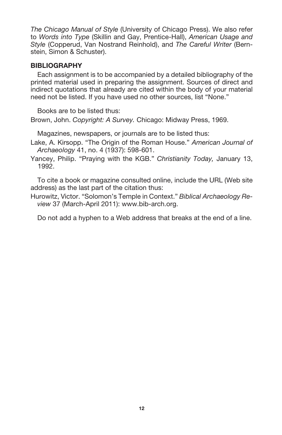*The Chicago Manual of Style* (University of Chicago Press). We also refer to *Words into Type* (Skillin and Gay, Prentice-Hall), *American Usage and Style* (Copperud, Van Nostrand Reinhold), and *The Careful Writer* (Bernstein, Simon & Schuster).

### **BIBLIOGRAPHY**

Each assignment is to be accompanied by a detailed bibliography of the printed material used in preparing the assignment. Sources of direct and indirect quotations that already are cited within the body of your material need not be listed. If you have used no other sources, list "None."

Books are to be listed thus:

Brown, John. *Copyright: A Survey.* Chicago: Midway Press, 1969.

Magazines, newspapers, or journals are to be listed thus:

Lake, A. Kirsopp. "The Origin of the Roman House." *American Journal of Archaeology* 41, no. 4 (1937): 598-601.

Yancey, Philip. "Praying with the KGB." *Christianity Today,* January 13, 1992.

To cite a book or magazine consulted online, include the URL (Web site address) as the last part of the citation thus:

Hurowitz, Victor. "Solomon's Temple in Context." *Biblical Archaeology Review* 37 (March-April 2011): www.bib-arch.org.

Do not add a hyphen to a Web address that breaks at the end of a line.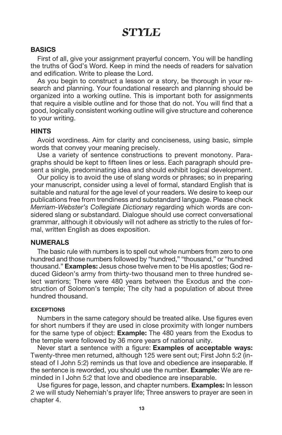# **STYLE**

#### **BASICS**

First of all, give your assignment prayerful concern. You will be handling the truths of God's Word. Keep in mind the needs of readers for salvation and edification. Write to please the Lord.

As you begin to construct a lesson or a story, be thorough in your research and planning. Your foundational research and planning should be organized into a working outline. This is important both for assignments that require a visible outline and for those that do not. You will find that a good, logically consistent working outline will give structure and coherence to your writing.

#### **HINTS**

Avoid wordiness. Aim for clarity and conciseness, using basic, simple words that convey your meaning precisely.

Use a variety of sentence constructions to prevent monotony. Paragraphs should be kept to fifteen lines or less. Each paragraph should present a single, predominating idea and should exhibit logical development.

Our policy is to avoid the use of slang words or phrases; so in preparing your manuscript, consider using a level of formal, standard English that is suitable and natural for the age level of your readers. We desire to keep our publications free from trendiness and substandard language. Please check *Merriam-Webster's Collegiate Dictionary* regarding which words are considered slang or substandard. Dialogue should use correct conversational grammar, although it obviously will not adhere as strictly to the rules of formal, written English as does exposition.

#### **NUMERALS**

The basic rule with numbers is to spell out whole numbers from zero to one hundred and those numbers followed by "hundred," "thousand," or "hundred thousand." **Examples:** Jesus chose twelve men to be His apostles; God reduced Gideon's army from thirty-two thousand men to three hundred select warriors; There were 480 years between the Exodus and the construction of Solomon's temple; The city had a population of about three hundred thousand.

#### **EXCEPTIONS**

Numbers in the same category should be treated alike. Use figures even for short numbers if they are used in close proximity with longer numbers for the same type of object: **Example:** The 480 years from the Exodus to the temple were followed by 36 more years of national unity.

Never start a sentence with a figure: **Examples of acceptable ways:** Twenty-three men returned, although 125 were sent out; First John 5:2 (instead of I John 5:2) reminds us that love and obedience are inseparable. If the sentence is reworded, you should use the number. **Example:** We are reminded in I John 5:2 that love and obedience are inseparable.

Use figures for page, lesson, and chapter numbers. **Examples:** In lesson 2 we will study Nehemiah's prayer life; Three answers to prayer are seen in chapter 4.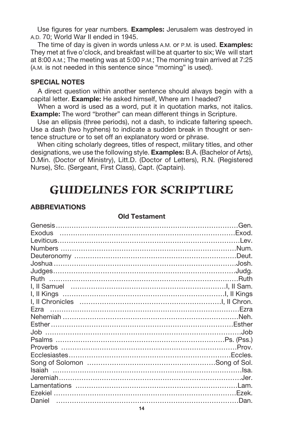Use figures for year numbers. **Examples:** Jerusalem was destroyed in A.D. 70; World War II ended in 1945.

The time of day is given in words unless A.M. or P.M. is used. **Examples:** They met at five o'clock, and breakfast will be at quarter to six; We will start at 8:00 A.M.; The meeting was at 5:00 P.M.; The morning train arrived at 7:25 (A.M. is not needed in this sentence since "morning" is used).

#### **SPECIAL NOTES**

A direct question within another sentence should always begin with a capital letter. **Example:** He asked himself, Where am I headed?

When a word is used as a word, put it in quotation marks, not italics. **Example:** The word "brother" can mean different things in Scripture.

Use an ellipsis (three periods), not a dash, to indicate faltering speech. Use a dash (two hyphens) to indicate a sudden break in thought or sentence structure or to set off an explanatory word or phrase.

When citing scholarly degrees, titles of respect, military titles, and other designations, we use the following style. **Examples:** B.A. (Bachelor of Arts), D.Min. (Doctor of Ministry), Litt.D. (Doctor of Letters), R.N. (Registered Nurse), Sfc. (Sergeant, First Class), Capt. (Captain).

# **GUIDELINES FOR SCRIPTURE**

#### **ABBREVIATIONS**

| Leviticus…………………………………………………………………………Lev.    |  |
|----------------------------------------------|--|
|                                              |  |
|                                              |  |
|                                              |  |
|                                              |  |
|                                              |  |
|                                              |  |
|                                              |  |
|                                              |  |
|                                              |  |
|                                              |  |
|                                              |  |
|                                              |  |
| Psalms …………………………………………………………………Ps. (Pss.)   |  |
|                                              |  |
|                                              |  |
|                                              |  |
|                                              |  |
|                                              |  |
|                                              |  |
| Ezekiel …………………………………………………………………………………Ezek. |  |
| Daniel                                       |  |

#### **Old Testament**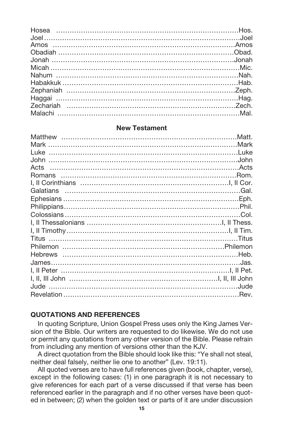#### **New Testament**

| James…………………………………………………………………………Jas. |  |
|---------------------------------------|--|
|                                       |  |
|                                       |  |
|                                       |  |
|                                       |  |
|                                       |  |

#### **QUOTATIONS AND REFERENCES**

In quoting Scripture, Union Gospel Press uses only the King James Version of the Bible. Our writers are requested to do likewise. We do not use or permit any quotations from any other version of the Bible. Please refrain from including any mention of versions other than the KJV.

A direct quotation from the Bible should look like this: "Ye shall not steal, neither deal falsely, neither lie one to another" (Lev. 19:11).

All quoted verses are to have full references given (book, chapter, verse), except in the following cases: (1) in one paragraph it is not necessary to give references for each part of a verse discussed if that verse has been referenced earlier in the paragraph and if no other verses have been quoted in between; (2) when the golden text or parts of it are under discussion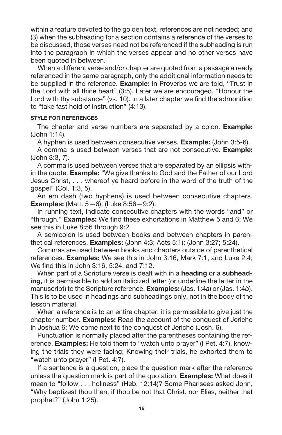within a feature devoted to the golden text, references are not needed; and (3) when the subheading for a section contains a reference of the verses to be discussed, those verses need not be referenced if the subheading is run into the paragraph in which the verses appear and no other verses have been quoted in between.

When a different verse and/or chapter are quoted from a passage already referenced in the same paragraph, only the additional information needs to be supplied in the reference. **Example:** In Proverbs we are told, "Trust in the Lord with all thine heart" (3:5). Later we are encouraged, "Honour the Lord with thy substance" (vs. 10). In a later chapter we find the admonition to "take fast hold of instruction" (4:13).

#### **STYLE FOR REFERENCES**

The chapter and verse numbers are separated by a colon. **Example:** (John 1:14).

A hyphen is used between consecutive verses. **Example:** (John 3:5-6).

A comma is used between verses that are not consecutive. **Example:** (John 3:3, 7).

A comma is used between verses that are separated by an ellipsis within the quote. **Example:** "We give thanks to God and the Father of our Lord Jesus Christ, . . . whereof ye heard before in the word of the truth of the gospel" (Col. 1:3, 5).

An em dash (two hyphens) is used between consecutive chapters. **Examples:** (Matt. 5—6); (Luke 8:56—9:2).

In running text, indicate consecutive chapters with the words "and" or "through." **Examples:** We find these exhortations in Matthew 5 and 6; We see this in Luke 8:56 through 9:2.

A semicolon is used between books and between chapters in parenthetical references. **Examples:** (John 4:3; Acts 5:1); (John 3:27; 5:24).

Commas are used between books and chapters outside of parenthetical references. **Examples:** We see this in John 3:16, Mark 7:1, and Luke 2:4; We find this in John 3:16, 5:24, and 7:12.

When part of a Scripture verse is dealt with in a **heading** or a **subheading,** it is permissible to add an italicized letter (or underline the letter in the manuscript) to the Scripture reference. **Examples:** (Jas. 1:4*a*) or (Jas. 1:4*b*). This is to be used in headings and subheadings only, not in the body of the lesson material.

When a reference is to an entire chapter, it is permissible to give just the chapter number. **Examples:** Read the account of the conquest of Jericho in Joshua 6; We come next to the conquest of Jericho (Josh. 6).

Punctuation is normally placed after the parentheses containing the reference. **Examples:** He told them to "watch unto prayer" (I Pet. 4:7), knowing the trials they were facing; Knowing their trials, he exhorted them to "watch unto prayer" (I Pet. 4:7).

If a sentence is a question, place the question mark after the reference unless the question mark is part of the quotation. **Examples:** What does it mean to "follow . . . holiness" (Heb. 12:14)? Some Pharisees asked John, "Why baptizest thou then, if thou be not that Christ, nor Elias, neither that prophet?" (John 1:25).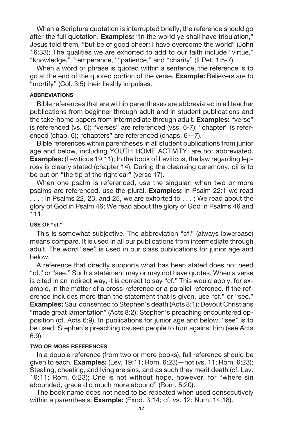When a Scripture quotation is interrupted briefly, the reference should go after the full quotation. **Examples:** "In the world ye shall have tribulation," Jesus told them, "but be of good cheer; I have overcome the world" (John 16:33); The qualities we are exhorted to add to our faith include "virtue," "knowledge," "temperance," "patience," and "charity" (II Pet. 1:5-7).

When a word or phrase is quoted within a sentence, the reference is to go at the end of the quoted portion of the verse. **Example:** Believers are to "mortify" (Col. 3:5) their fleshly impulses.

#### **ABBREVIATIONS**

Bible references that are within parentheses are abbreviated in all teacher publications from beginner through adult and in student publications and the take-home papers from intermediate through adult. **Examples:** "verse" is referenced (vs. 6); "verses" are referenced (vss. 6-7); "chapter" is referenced (chap. 6); "chapters" are referenced (chaps. 6—7).

Bible references within parentheses in all student publications from junior age and below, including YOUTH HOME ACTIVITY, are not abbreviated. **Examples:** (Leviticus 19:11); In the book of Leviticus, the law regarding leprosy is clearly stated (chapter 14); During the cleansing ceremony, oil is to be put on "the tip of the right ear" (verse 17).

When one psalm is referenced, use the singular; when two or more psalms are referenced, use the plural. **Examples:** In Psalm 22:1 we read ... ; In Psalms 22, 23, and 25, we are exhorted to . . . ; We read about the glory of God in Psalm 46; We read about the glory of God in Psalms 46 and 111.

#### **USE OF "cf."**

This is somewhat subjective. The abbreviation "cf." (always lowercase) means compare. It is used in all our publications from intermediate through adult. The word "see" is used in our class publications for junior age and below.

A reference that directly supports what has been stated does not need "cf." or "see." Such a statement may or may not have quotes. When a verse is cited in an indirect way, it is correct to say "cf." This would apply, for example, in the matter of a cross-reference or a parallel reference. If the reference includes more than the statement that is given, use "cf." or "see." **Examples:** Saul consented to Stephen's death (Acts 8:1); Devout Christians "made great lamentation" (Acts 8:2); Stephen's preaching encountered opposition (cf. Acts 6:9). In publications for junior age and below, "see" is to be used: Stephen's preaching caused people to turn against him (see Acts 6:9).

#### **TWO OR MORE REFERENCES**

In a double reference (from two or more books), full reference should be given to each. **Examples:** (Lev. 19:11; Rom. 6:23)—not (vs. 11; Rom. 6:23); Stealing, cheating, and lying are sins, and as such they merit death (cf. Lev. 19:11; Rom. 6:23); One is not without hope, however, for "where sin abounded, grace did much more abound" (Rom. 5:20).

The book name does not need to be repeated when used consecutively within a parenthesis: **Example:** (Exod. 3:14; cf. vs. 12; Num. 14:18).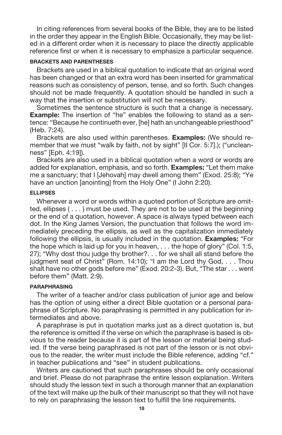In citing references from several books of the Bible, they are to be listed in the order they appear in the English Bible. Occasionally, they may be listed in a different order when it is necessary to place the directly applicable reference first or when it is necessary to emphasize a particular sequence.

#### **BRACKETS AND PARENTHESES**

Brackets are used in a biblical quotation to indicate that an original word has been changed or that an extra word has been inserted for grammatical reasons such as consistency of person, tense, and so forth. Such changes should not be made frequently. A quotation should be handled in such a way that the insertion or substitution will not be necessary.

Sometimes the sentence structure is such that a change is necessary. **Example:** The insertion of "he" enables the following to stand as a sentence: "Because he continueth ever, [he] hath an unchangeable priesthood" (Heb. 7:24).

Brackets are also used within parentheses. **Examples:** (We should remember that we must "walk by faith, not by sight" [II Cor. 5:7].); ("uncleanness" [Eph. 4:19]).

Brackets are also used in a biblical quotation when a word or words are added for explanation, emphasis, and so forth. **Examples:** "Let them make me a sanctuary; that I [Jehovah] may dwell among them" (Exod. 25:8); "Ye have an unction [anointing] from the Holy One" (I John 2:20).

#### **ELLIPSES**

Whenever a word or words within a quoted portion of Scripture are omitted, ellipses ( . . . ) must be used. They are not to be used at the beginning or the end of a quotation, however. A space is always typed between each dot. In the King James Version, the punctuation that follows the word immediately preceding the ellipsis, as well as the capitalization immediately following the ellipsis, is usually included in the quotation. **Examples:** "For the hope which is laid up for you in heaven, . . . the hope of glory" (Col. 1:5, 27); "Why dost thou judge thy brother?. . . for we shall all stand before the judgment seat of Christ" (Rom. 14:10); "I am the Lord thy God, . . . Thou shalt have no other gods before me" (Exod. 20:2-3). But, "The star . . . went before them" (Matt. 2:9).

#### **PARAPHRASING**

The writer of a teacher and/or class publication of junior age and below has the option of using either a direct Bible quotation or a personal paraphrase of Scripture. No paraphrasing is permitted in any publication for intermediates and above.

A paraphrase is put in quotation marks just as a direct quotation is, but the reference is omitted if the verse on which the paraphrase is based is obvious to the reader because it is part of the lesson or material being studied. If the verse being paraphrased is not part of the lesson or is not obvious to the reader, the writer must include the Bible reference, adding "cf." in teacher publications and "see" in student publications.

Writers are cautioned that such paraphrases should be only occasional and brief. Please do not paraphrase the entire lesson explanation. Writers should study the lesson text in such a thorough manner that an explanation of the text will make up the bulk of their manuscript so that they will not have to rely on paraphrasing the lesson text to fulfill the line requirements.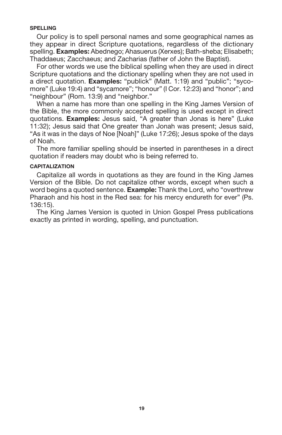#### **SPELLING**

Our policy is to spell personal names and some geographical names as they appear in direct Scripture quotations, regardless of the dictionary spelling. **Examples:** Abednego; Ahasuerus (Xerxes); Bath-sheba; Elisabeth; Thaddaeus; Zacchaeus; and Zacharias (father of John the Baptist).

For other words we use the biblical spelling when they are used in direct Scripture quotations and the dictionary spelling when they are not used in a direct quotation. **Examples:** "publick" (Matt. 1:19) and "public"; "sycomore" (Luke 19:4) and "sycamore"; "honour" (I Cor. 12:23) and "honor"; and "neighbour" (Rom. 13:9) and "neighbor."

When a name has more than one spelling in the King James Version of the Bible, the more commonly accepted spelling is used except in direct quotations. **Examples:** Jesus said, "A greater than Jonas is here" (Luke 11:32); Jesus said that One greater than Jonah was present; Jesus said, "As it was in the days of Noe [Noah]" (Luke 17:26); Jesus spoke of the days of Noah.

The more familiar spelling should be inserted in parentheses in a direct quotation if readers may doubt who is being referred to.

#### **CAPITALIZATION**

Capitalize all words in quotations as they are found in the King James Version of the Bible. Do not capitalize other words, except when such a word begins a quoted sentence. **Example:** Thank the Lord, who "overthrew Pharaoh and his host in the Red sea: for his mercy endureth for ever" (Ps. 136:15).

The King James Version is quoted in Union Gospel Press publications exactly as printed in wording, spelling, and punctuation.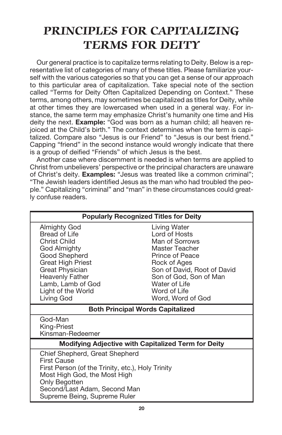# **PRINCIPLES FOR CAPITALIZING TERMS FOR DEITY**

Our general practice is to capitalize terms relating to Deity. Below is a representative list of categories of many of these titles. Please familiarize yourself with the various categories so that you can get a sense of our approach to this particular area of capitalization. Take special note of the section called "Terms for Deity Often Capitalized Depending on Context." These terms, among others, may sometimes be capitalized as titles for Deity, while at other times they are lowercased when used in a general way. For instance, the same term may emphasize Christ's humanity one time and His deity the next. **Example:** "God was born as a human child; all heaven rejoiced at the Child's birth." The context determines when the term is capitalized. Compare also "Jesus is our Friend" to "Jesus is our best friend." Capping "friend" in the second instance would wrongly indicate that there is a group of deified "Friends" of which Jesus is the best.

Another case where discernment is needed is when terms are applied to Christ from unbelievers' perspective or the principal characters are unaware of Christ's deity. **Examples:** "Jesus was treated like a common criminal"; "The Jewish leaders identified Jesus as the man who had troubled the people." Capitalizing "criminal" and "man" in these circumstances could greatly confuse readers.

| <b>Popularly Recognized Titles for Deity</b>                                                                                                                                                                               |                                                                                                                                                                                                                     |  |
|----------------------------------------------------------------------------------------------------------------------------------------------------------------------------------------------------------------------------|---------------------------------------------------------------------------------------------------------------------------------------------------------------------------------------------------------------------|--|
| Almighty God<br>Bread of Life<br>Christ Child<br>God Almighty<br>Good Shepherd<br><b>Great High Priest</b><br><b>Great Physician</b><br><b>Heavenly Father</b><br>Lamb, Lamb of God<br>Light of the World<br>Living God    | Living Water<br>Lord of Hosts<br>Man of Sorrows<br>Master Teacher<br>Prince of Peace<br>Rock of Ages<br>Son of David, Root of David<br>Son of God, Son of Man<br>Water of Life<br>Word of Life<br>Word, Word of God |  |
| <b>Both Principal Words Capitalized</b>                                                                                                                                                                                    |                                                                                                                                                                                                                     |  |
| God-Man<br>King-Priest<br>Kinsman-Redeemer                                                                                                                                                                                 |                                                                                                                                                                                                                     |  |
| <b>Modifying Adjective with Capitalized Term for Deity</b>                                                                                                                                                                 |                                                                                                                                                                                                                     |  |
| Chief Shepherd, Great Shepherd<br><b>First Cause</b><br>First Person (of the Trinity, etc.), Holy Trinity<br>Most High God, the Most High<br>Only Begotten<br>Second/Last Adam, Second Man<br>Supreme Being, Supreme Ruler |                                                                                                                                                                                                                     |  |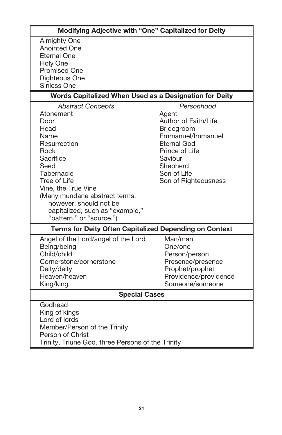| Modifying Adjective with "One" Capitalized for Deity                                                                                                                                                                                                                                      |                                                                                                                                                                                      |  |  |
|-------------------------------------------------------------------------------------------------------------------------------------------------------------------------------------------------------------------------------------------------------------------------------------------|--------------------------------------------------------------------------------------------------------------------------------------------------------------------------------------|--|--|
| <b>Almighty One</b><br><b>Anointed One</b><br>Eternal One<br>Holy One<br><b>Promised One</b><br><b>Righteous One</b><br>Sinless One                                                                                                                                                       |                                                                                                                                                                                      |  |  |
| Words Capitalized When Used as a Designation for Deity                                                                                                                                                                                                                                    |                                                                                                                                                                                      |  |  |
| <b>Abstract Concepts</b><br>Atonement<br>Door<br>Head<br>Name<br>Resurrection<br>Rock<br>Sacrifice<br>Seed<br>Tabernacle<br>Tree of Life<br>Vine, the True Vine<br>(Many mundane abstract terms,<br>however, should not be<br>capitalized, such as "example,"<br>"pattern," or "source.") | Personhood<br>Agent<br>Author of Faith/Life<br>Bridegroom<br>Emmanuel/Immanuel<br><b>Eternal God</b><br>Prince of Life<br>Saviour<br>Shepherd<br>Son of Life<br>Son of Righteousness |  |  |
| <b>Terms for Deity Often Capitalized Depending on Context</b>                                                                                                                                                                                                                             |                                                                                                                                                                                      |  |  |
| Angel of the Lord/angel of the Lord<br>Being/being<br>Child/child<br>Cornerstone/cornerstone<br>Deity/deity<br>Heaven/heaven<br>King/king                                                                                                                                                 | Man/man<br>One/one<br>Person/person<br>Presence/presence<br>Prophet/prophet<br>Providence/providence<br>Someone/someone                                                              |  |  |
| <b>Special Cases</b>                                                                                                                                                                                                                                                                      |                                                                                                                                                                                      |  |  |
| Godhead<br>King of kings<br>Lord of lords<br>Member/Person of the Trinity<br>Person of Christ<br>Trinity, Triune God, three Persons of the Trinity                                                                                                                                        |                                                                                                                                                                                      |  |  |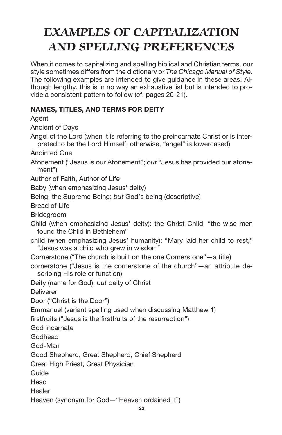# **EXAMPLES OF CAPITALIZATION AND SPELLING PREFERENCES**

When it comes to capitalizing and spelling biblical and Christian terms, our style sometimes differs from the dictionary or *The Chicago Manual of Style.* The following examples are intended to give guidance in these areas. Although lengthy, this is in no way an exhaustive list but is intended to provide a consistent pattern to follow (cf. pages 20-21).

## **NAMES, TITLES, AND TERMS FOR DEITY**

Agent Ancient of Days Angel of the Lord (when it is referring to the preincarnate Christ or is interpreted to be the Lord Himself; otherwise, "angel" is lowercased) Anointed One Atonement ("Jesus is our Atonement"; *but* "Jesus has provided our atonement") Author of Faith, Author of Life Baby (when emphasizing Jesus' deity) Being, the Supreme Being; *but* God's being (descriptive) Bread of Life Bridegroom Child (when emphasizing Jesus' deity): the Christ Child, "the wise men found the Child in Bethlehem" child (when emphasizing Jesus' humanity): "Mary laid her child to rest," "Jesus was a child who grew in wisdom" Cornerstone ("The church is built on the one Cornerstone"—a title) cornerstone ("Jesus is the cornerstone of the church"—an attribute describing His role or function) Deity (name for God); *but* deity of Christ **Deliverer** Door ("Christ is the Door") Emmanuel (variant spelling used when discussing Matthew 1) firstfruits ("Jesus is the firstfruits of the resurrection") God incarnate Godhead God-Man Good Shepherd, Great Shepherd, Chief Shepherd Great High Priest, Great Physician Guide Head Healer Heaven (synonym for God—"Heaven ordained it")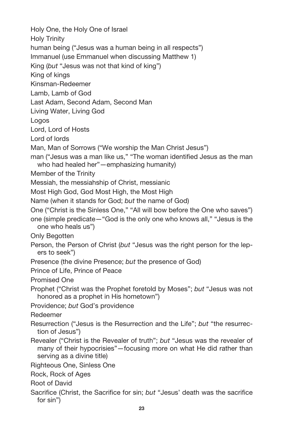Holy One, the Holy One of Israel Holy Trinity human being ("Jesus was a human being in all respects") Immanuel (use Emmanuel when discussing Matthew 1) King (*but* "Jesus was not that kind of king") King of kings Kinsman-Redeemer Lamb, Lamb of God Last Adam, Second Adam, Second Man Living Water, Living God Logos Lord, Lord of Hosts Lord of lords Man, Man of Sorrows ("We worship the Man Christ Jesus") man ("Jesus was a man like us," "The woman identified Jesus as the man who had healed her"—emphasizing humanity) Member of the Trinity Messiah, the messiahship of Christ, messianic Most High God, God Most High, the Most High Name (when it stands for God; *but* the name of God) One ("Christ is the Sinless One," "All will bow before the One who saves") one (simple predicate—"God is the only one who knows all," "Jesus is the one who heals us") Only Begotten Person, the Person of Christ (*but* "Jesus was the right person for the lepers to seek") Presence (the divine Presence; *but* the presence of God) Prince of Life, Prince of Peace Promised One Prophet ("Christ was the Prophet foretold by Moses"; *but* "Jesus was not honored as a prophet in His hometown") Providence; *but* God's providence Redeemer Resurrection ("Jesus is the Resurrection and the Life"; *but* "the resurrection of Jesus") Revealer ("Christ is the Revealer of truth"; *but* "Jesus was the revealer of many of their hypocrisies"—focusing more on what He did rather than serving as a divine title) Righteous One, Sinless One Rock, Rock of Ages Root of David Sacrifice (Christ, the Sacrifice for sin; *but* "Jesus' death was the sacrifice for sin")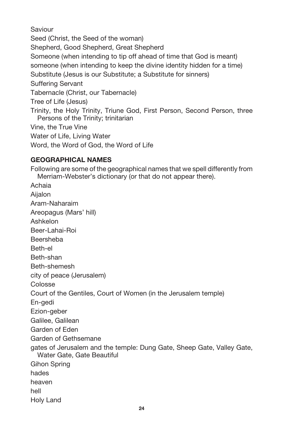Saviour

Seed (Christ, the Seed of the woman)

Shepherd, Good Shepherd, Great Shepherd

Someone (when intending to tip off ahead of time that God is meant)

someone (when intending to keep the divine identity hidden for a time)

Substitute (Jesus is our Substitute; a Substitute for sinners)

Suffering Servant

Tabernacle (Christ, our Tabernacle)

Tree of Life (Jesus)

Trinity, the Holy Trinity, Triune God, First Person, Second Person, three Persons of the Trinity; trinitarian

Vine, the True Vine

Water of Life, Living Water

Word, the Word of God, the Word of Life

# **GEOGRAPHICAL NAMES**

Following are some of the geographical names that we spell differently from Merriam-Webster's dictionary (or that do not appear there).

Achaia Aijalon Aram-Naharaim Areopagus (Mars' hill) Ashkelon Beer-Lahai-Roi Beersheba Beth-el Beth-shan Beth-shemesh city of peace (Jerusalem) Colosse Court of the Gentiles, Court of Women (in the Jerusalem temple) En-gedi Ezion-geber Galilee, Galilean Garden of Eden Garden of Gethsemane gates of Jerusalem and the temple: Dung Gate, Sheep Gate, Valley Gate, Water Gate, Gate Beautiful Gihon Spring hades heaven hell Holy Land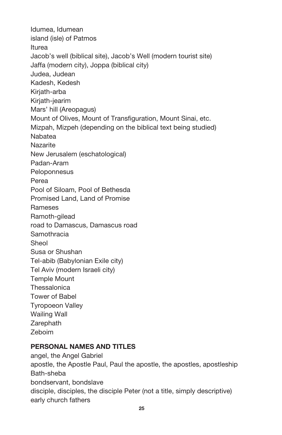Idumea, Idumean island (isle) of Patmos Iturea Jacob's well (biblical site), Jacob's Well (modern tourist site) Jaffa (modern city), Joppa (biblical city) Judea, Judean Kadesh, Kedesh Kirjath-arba Kirjath-jearim Mars' hill (Areopagus) Mount of Olives, Mount of Transfiguration, Mount Sinai, etc. Mizpah, Mizpeh (depending on the biblical text being studied) Nabatea **Nazarite** New Jerusalem (eschatological) Padan-Aram **Peloponnesus** Perea Pool of Siloam, Pool of Bethesda Promised Land, Land of Promise Rameses Ramoth-gilead road to Damascus, Damascus road **Samothracia Sheol** Susa or Shushan Tel-abib (Babylonian Exile city) Tel Aviv (modern Israeli city) Temple Mount **Thessalonica** Tower of Babel Tyropoeon Valley Wailing Wall Zarephath Zeboim

### **PERSONAL NAMES AND TITLES**

angel, the Angel Gabriel apostle, the Apostle Paul, Paul the apostle, the apostles, apostleship Bath-sheba bondservant, bondslave disciple, disciples, the disciple Peter (not a title, simply descriptive) early church fathers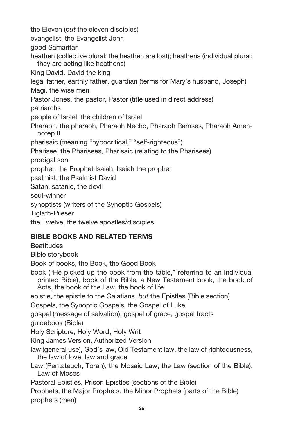the Eleven (*but* the eleven disciples) evangelist, the Evangelist John good Samaritan heathen (collective plural: the heathen are lost); heathens (individual plural: they are acting like heathens) King David, David the king legal father, earthly father, guardian (terms for Mary's husband, Joseph) Magi, the wise men Pastor Jones, the pastor, Pastor (title used in direct address) patriarchs people of Israel, the children of Israel Pharaoh, the pharaoh, Pharaoh Necho, Pharaoh Ramses, Pharaoh Amenhotep II pharisaic (meaning "hypocritical," "self-righteous") Pharisee, the Pharisees, Pharisaic (relating to the Pharisees) prodigal son prophet, the Prophet Isaiah, Isaiah the prophet psalmist, the Psalmist David Satan, satanic, the devil soul-winner synoptists (writers of the Synoptic Gospels) Tiglath-Pileser

the Twelve, the twelve apostles/disciples

### **BIBLE BOOKS AND RELATED TERMS**

**Beatitudes** 

Bible storybook

Book of books, the Book, the Good Book

book ("He picked up the book from the table," referring to an individual printed Bible), book of the Bible, a New Testament book, the book of Acts, the book of the Law, the book of life

epistle, the epistle to the Galatians, *but* the Epistles (Bible section)

Gospels, the Synoptic Gospels, the Gospel of Luke

gospel (message of salvation); gospel of grace, gospel tracts

guidebook (Bible)

Holy Scripture, Holy Word, Holy Writ

King James Version, Authorized Version

law (general use), God's law, Old Testament law, the law of righteousness, the law of love, law and grace

Law (Pentateuch, Torah), the Mosaic Law; the Law (section of the Bible), Law of Moses

Pastoral Epistles, Prison Epistles (sections of the Bible)

Prophets, the Major Prophets, the Minor Prophets (parts of the Bible) prophets (men)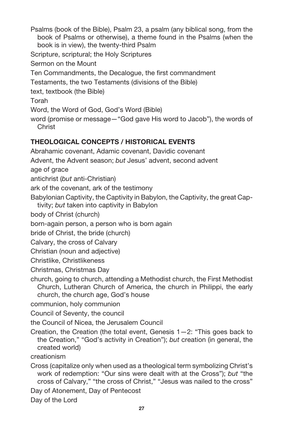Psalms (book of the Bible), Psalm 23, a psalm (any biblical song, from the book of Psalms or otherwise), a theme found in the Psalms (when the book is in view), the twenty-third Psalm Scripture, scriptural; the Holy Scriptures Sermon on the Mount

Ten Commandments, the Decalogue, the first commandment

Testaments, the two Testaments (divisions of the Bible)

text, textbook (the Bible)

Torah

Word, the Word of God, God's Word (Bible)

word (promise or message—"God gave His word to Jacob"), the words of **Christ** 

# **THEOLOGICAL CONCEPTS / HISTORICAL EVENTS**

Abrahamic covenant, Adamic covenant, Davidic covenant

Advent, the Advent season; *but* Jesus' advent, second advent

age of grace

antichrist (*but* anti-Christian)

ark of the covenant, ark of the testimony

Babylonian Captivity, the Captivity in Babylon, the Captivity, the great Cap-

tivity; *but* taken into captivity in Babylon

body of Christ (church)

born-again person, a person who is born again

bride of Christ, the bride (church)

Calvary, the cross of Calvary

Christian (noun and adjective)

Christlike, Christlikeness

Christmas, Christmas Day

church, going to church, attending a Methodist church, the First Methodist Church, Lutheran Church of America, the church in Philippi, the early church, the church age, God's house

communion, holy communion

Council of Seventy, the council

the Council of Nicea, the Jerusalem Council

Creation, the Creation (the total event, Genesis 1—2: "This goes back to the Creation," "God's activity in Creation"); *but* creation (in general, the created world)

creationism

Cross (capitalize only when used as a theological term symbolizing Christ's work of redemption: "Our sins were dealt with at the Cross"); *but* "the cross of Calvary," "the cross of Christ," "Jesus was nailed to the cross"

Day of Atonement, Day of Pentecost

Day of the Lord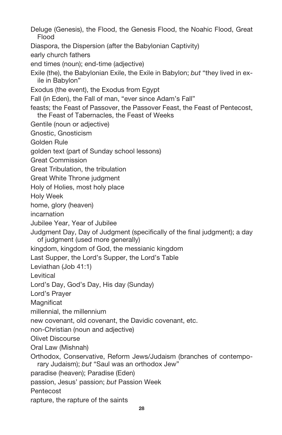Deluge (Genesis), the Flood, the Genesis Flood, the Noahic Flood, Great Flood

Diaspora, the Dispersion (after the Babylonian Captivity)

early church fathers

end times (noun); end-time (adjective)

Exile (the), the Babylonian Exile, the Exile in Babylon; *but* "they lived in exile in Babylon"

Exodus (the event), the Exodus from Egypt

Fall (in Eden), the Fall of man, "ever since Adam's Fall"

feasts; the Feast of Passover, the Passover Feast, the Feast of Pentecost, the Feast of Tabernacles, the Feast of Weeks

Gentile (noun or adjective)

Gnostic, Gnosticism

Golden Rule

golden text (part of Sunday school lessons)

Great Commission

Great Tribulation, the tribulation

Great White Throne judgment

Holy of Holies, most holy place

Holy Week

home, glory (heaven)

incarnation

Jubilee Year, Year of Jubilee

Judgment Day, Day of Judgment (specifically of the final judgment); a day of judgment (used more generally)

kingdom, kingdom of God, the messianic kingdom

Last Supper, the Lord's Supper, the Lord's Table

Leviathan (Job 41:1)

Levitical

Lord's Day, God's Day, His day (Sunday)

Lord's Prayer

**Magnificat** 

millennial, the millennium

new covenant, old covenant, the Davidic covenant, etc.

non-Christian (noun and adjective)

Olivet Discourse

Oral Law (Mishnah)

Orthodox, Conservative, Reform Jews/Judaism (branches of contemporary Judaism); *but* "Saul was an orthodox Jew"

paradise (heaven); Paradise (Eden)

passion, Jesus' passion; *but* Passion Week

**Pentecost** 

rapture, the rapture of the saints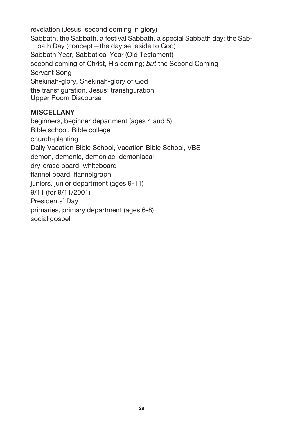revelation (Jesus' second coming in glory) Sabbath, the Sabbath, a festival Sabbath, a special Sabbath day; the Sabbath Day (concept—the day set aside to God) Sabbath Year, Sabbatical Year (Old Testament) second coming of Christ, His coming; *but* the Second Coming Servant Song Shekinah-glory, Shekinah-glory of God the transfiguration, Jesus' transfiguration Upper Room Discourse

### **MISCELLANY**

beginners, beginner department (ages 4 and 5) Bible school, Bible college church-planting Daily Vacation Bible School, Vacation Bible School, VBS demon, demonic, demoniac, demoniacal dry-erase board, whiteboard flannel board, flannelgraph juniors, junior department (ages 9-11) 9/11 (for 9/11/2001) Presidents' Day primaries, primary department (ages 6-8) social gospel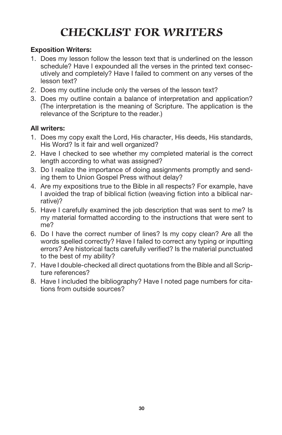# **CHECKLIST FOR WRITERS**

### **Exposition Writers:**

- 1. Does my lesson follow the lesson text that is underlined on the lesson schedule? Have I expounded all the verses in the printed text consecutively and completely? Have I failed to comment on any verses of the lesson text?
- 2. Does my outline include only the verses of the lesson text?
- 3. Does my outline contain a balance of interpretation and application? (The interpretation is the meaning of Scripture. The application is the relevance of the Scripture to the reader.)

### **All writers:**

- 1. Does my copy exalt the Lord, His character, His deeds, His standards, His Word? Is it fair and well organized?
- 2. Have I checked to see whether my completed material is the correct length according to what was assigned?
- 3. Do I realize the importance of doing assignments promptly and sending them to Union Gospel Press without delay?
- 4. Are my expositions true to the Bible in all respects? For example, have I avoided the trap of biblical fiction (weaving fiction into a biblical narrative)?
- 5. Have I carefully examined the job description that was sent to me? Is my material formatted according to the instructions that were sent to me?
- 6. Do I have the correct number of lines? Is my copy clean? Are all the words spelled correctly? Have I failed to correct any typing or inputting errors? Are historical facts carefully verified? Is the material punctuated to the best of my ability?
- 7. Have I double-checked all direct quotations from the Bible and all Scripture references?
- 8. Have I included the bibliography? Have I noted page numbers for citations from outside sources?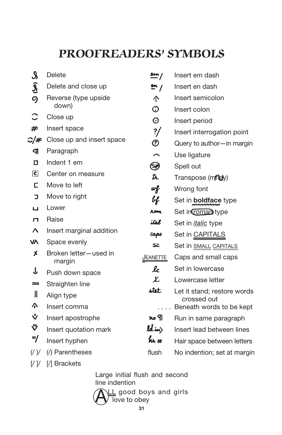# **PROOFREADERS' SYMBOLS**

| $\boldsymbol{\mathcal{S}}$ | Delete                    | $\underline{\mathbf{m}}$ /              | Insert em dash               |
|----------------------------|---------------------------|-----------------------------------------|------------------------------|
| $\frac{2}{9}$              | Delete and close up       | $\mathbf{m}$ /                          | Insert en dash               |
|                            | Reverse (type upside      | ^                                       | Insert semicolon             |
|                            | down)                     | $\odot$                                 | Insert colon                 |
|                            | Close up                  | $\odot$                                 | Insert period                |
| #                          | Insert space              | $\frac{2}{\pi}$                         | Insert interrogation point   |
| C/#                        | Close up and insert space | ℗                                       | Query to author-in margin    |
| q                          | Paragraph                 | $\overline{\phantom{1}}$                | Use ligature                 |
| ם                          | Indent 1 em               | ❤                                       | Spell out                    |
| $\epsilon$                 | Center on measure         | 瓦                                       | Transpose (mnay)             |
| с                          | Move to left              | wf                                      | Wrong font                   |
| コ                          | Move to right             | ң                                       | Set in <b>boldface</b> type  |
| ப                          | Lower                     | <b>ROM</b>                              | Set in coman type            |
| п                          | Raise                     | ital                                    | Set in <i>italic</i> type    |
| Λ                          | Insert marginal addition  | caps                                    | Set in CAPITALS              |
| V٨                         | Space evenly              | SC                                      | Set in <b>SMALL CAPITALS</b> |
| Х                          | Broken letter-used in     | <u>JEANETTE</u>                         | Caps and small caps          |
|                            | margin                    | lc                                      | Set in lowercase             |
| ↓                          | Push down space           | Ł                                       | Lowercase letter             |
| $=$                        | Straighten line           | stet                                    | Let it stand; restore words  |
| $\mathbf l$                | Align type                |                                         | crossed out                  |
| Λ,                         | Insert comma              |                                         | Beneath words to be kept     |
| $\mathbf{\hat{v}}$         | Insert apostrophe         | no ¶                                    | Run in same paragraph        |
| ッ                          | Insert quotation mark     | $\boldsymbol{\mathit{ld}}$ in $\rangle$ | Insert lead between lines    |
| =/                         | Insert hyphen             | hr #                                    | Hair space between letters   |
| $($ / $)$ /                | (/) Parentheses           | flush                                   | No indention; set at margin  |
|                            |                           |                                         |                              |

[/ ]/ [/] Brackets

Large initial flush and second line indention